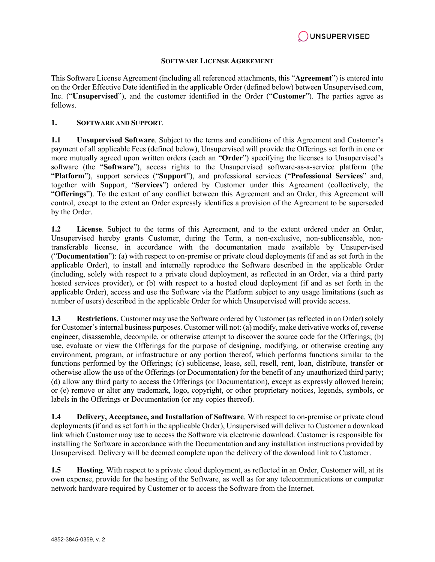

#### **SOFTWARE LICENSE AGREEMENT**

This Software License Agreement (including all referenced attachments, this "**Agreement**") is entered into on the Order Effective Date identified in the applicable Order (defined below) between Unsupervised.com, Inc. ("**Unsupervised**"), and the customer identified in the Order ("**Customer**"). The parties agree as follows.

#### **1. SOFTWARE AND SUPPORT**.

**1.1 Unsupervised Software**. Subject to the terms and conditions of this Agreement and Customer's payment of all applicable Fees (defined below), Unsupervised will provide the Offerings set forth in one or more mutually agreed upon written orders (each an "**Order**") specifying the licenses to Unsupervised's software (the "**Software**"), access rights to the Unsupervised software-as-a-service platform (the "**Platform**"), support services ("**Support**"), and professional services ("**Professional Services**" and, together with Support, "**Services**") ordered by Customer under this Agreement (collectively, the "**Offerings**"). To the extent of any conflict between this Agreement and an Order, this Agreement will control, except to the extent an Order expressly identifies a provision of the Agreement to be superseded by the Order.

**1.2 License**. Subject to the terms of this Agreement, and to the extent ordered under an Order, Unsupervised hereby grants Customer, during the Term, a non-exclusive, non-sublicensable, nontransferable license, in accordance with the documentation made available by Unsupervised ("**Documentation**"): (a) with respect to on-premise or private cloud deployments (if and as set forth in the applicable Order), to install and internally reproduce the Software described in the applicable Order (including, solely with respect to a private cloud deployment, as reflected in an Order, via a third party hosted services provider), or (b) with respect to a hosted cloud deployment (if and as set forth in the applicable Order), access and use the Software via the Platform subject to any usage limitations (such as number of users) described in the applicable Order for which Unsupervised will provide access.

**1.3 Restrictions**. Customer may use the Software ordered by Customer (as reflected in an Order) solely for Customer's internal business purposes. Customer will not: (a) modify, make derivative works of, reverse engineer, disassemble, decompile, or otherwise attempt to discover the source code for the Offerings; (b) use, evaluate or view the Offerings for the purpose of designing, modifying, or otherwise creating any environment, program, or infrastructure or any portion thereof, which performs functions similar to the functions performed by the Offerings; (c) sublicense, lease, sell, resell, rent, loan, distribute, transfer or otherwise allow the use of the Offerings (or Documentation) for the benefit of any unauthorized third party; (d) allow any third party to access the Offerings (or Documentation), except as expressly allowed herein; or (e) remove or alter any trademark, logo, copyright, or other proprietary notices, legends, symbols, or labels in the Offerings or Documentation (or any copies thereof).

**1.4 Delivery, Acceptance, and Installation of Software**. With respect to on-premise or private cloud deployments (if and as set forth in the applicable Order), Unsupervised will deliver to Customer a download link which Customer may use to access the Software via electronic download. Customer is responsible for installing the Software in accordance with the Documentation and any installation instructions provided by Unsupervised. Delivery will be deemed complete upon the delivery of the download link to Customer.

**1.5 Hosting**. With respect to a private cloud deployment, as reflected in an Order, Customer will, at its own expense, provide for the hosting of the Software, as well as for any telecommunications or computer network hardware required by Customer or to access the Software from the Internet.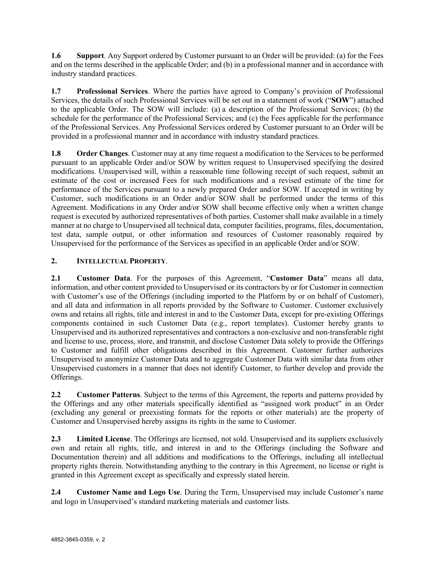**1.6 Support**. Any Support ordered by Customer pursuant to an Order will be provided: (a) for the Fees and on the terms described in the applicable Order; and (b) in a professional manner and in accordance with industry standard practices.

**1.7 Professional Services**. Where the parties have agreed to Company's provision of Professional Services, the details of such Professional Services will be set out in a statement of work ("**SOW**") attached to the applicable Order. The SOW will include: (a) a description of the Professional Services; (b) the schedule for the performance of the Professional Services; and (c) the Fees applicable for the performance of the Professional Services. Any Professional Services ordered by Customer pursuant to an Order will be provided in a professional manner and in accordance with industry standard practices.

**1.8 Order Changes**. Customer may at any time request a modification to the Services to be performed pursuant to an applicable Order and/or SOW by written request to Unsupervised specifying the desired modifications. Unsupervised will, within a reasonable time following receipt of such request, submit an estimate of the cost or increased Fees for such modifications and a revised estimate of the time for performance of the Services pursuant to a newly prepared Order and/or SOW. If accepted in writing by Customer, such modifications in an Order and/or SOW shall be performed under the terms of this Agreement. Modifications in any Order and/or SOW shall become effective only when a written change request is executed by authorized representatives of both parties. Customer shall make available in a timely manner at no charge to Unsupervised all technical data, computer facilities, programs, files, documentation, test data, sample output, or other information and resources of Customer reasonably required by Unsupervised for the performance of the Services as specified in an applicable Order and/or SOW.

# **2. INTELLECTUAL PROPERTY**.

**2.1 Customer Data**. For the purposes of this Agreement, "**Customer Data**" means all data, information, and other content provided to Unsupervised or its contractors by or for Customer in connection with Customer's use of the Offerings (including imported to the Platform by or on behalf of Customer), and all data and information in all reports provided by the Software to Customer. Customer exclusively owns and retains all rights, title and interest in and to the Customer Data, except for pre-existing Offerings components contained in such Customer Data (e.g., report templates). Customer hereby grants to Unsupervised and its authorized representatives and contractors a non-exclusive and non-transferable right and license to use, process, store, and transmit, and disclose Customer Data solely to provide the Offerings to Customer and fulfill other obligations described in this Agreement. Customer further authorizes Unsupervised to anonymize Customer Data and to aggregate Customer Data with similar data from other Unsupervised customers in a manner that does not identify Customer, to further develop and provide the Offerings.

**2.2 Customer Patterns**. Subject to the terms of this Agreement, the reports and patterns provided by the Offerings and any other materials specifically identified as "assigned work product" in an Order (excluding any general or preexisting formats for the reports or other materials) are the property of Customer and Unsupervised hereby assigns its rights in the same to Customer.

**2.3 Limited License**. The Offerings are licensed, not sold. Unsupervised and its suppliers exclusively own and retain all rights, title, and interest in and to the Offerings (including the Software and Documentation therein) and all additions and modifications to the Offerings, including all intellectual property rights therein. Notwithstanding anything to the contrary in this Agreement, no license or right is granted in this Agreement except as specifically and expressly stated herein.

**2.4 Customer Name and Logo Use**. During the Term, Unsupervised may include Customer's name and logo in Unsupervised's standard marketing materials and customer lists.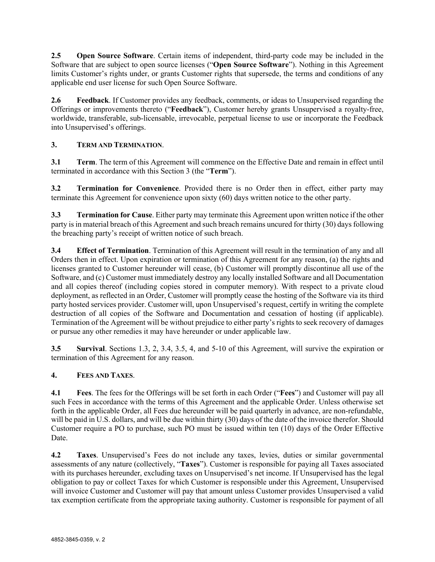**2.5 Open Source Software**. Certain items of independent, third-party code may be included in the Software that are subject to open source licenses ("**Open Source Software**"). Nothing in this Agreement limits Customer's rights under, or grants Customer rights that supersede, the terms and conditions of any applicable end user license for such Open Source Software.

**2.6 Feedback**. If Customer provides any feedback, comments, or ideas to Unsupervised regarding the Offerings or improvements thereto ("**Feedback**"), Customer hereby grants Unsupervised a royalty-free, worldwide, transferable, sub-licensable, irrevocable, perpetual license to use or incorporate the Feedback into Unsupervised's offerings.

# **3. TERM AND TERMINATION**.

**3.1 Term**. The term of this Agreement will commence on the Effective Date and remain in effect until terminated in accordance with this Section 3 (the "**Term**").

**3.2 Termination for Convenience**. Provided there is no Order then in effect, either party may terminate this Agreement for convenience upon sixty (60) days written notice to the other party.

**3.3 Termination for Cause**. Either party may terminate this Agreement upon written notice if the other party is in material breach of this Agreement and such breach remains uncured for thirty (30) days following the breaching party's receipt of written notice of such breach.

**3.4 Effect of Termination**. Termination of this Agreement will result in the termination of any and all Orders then in effect. Upon expiration or termination of this Agreement for any reason, (a) the rights and licenses granted to Customer hereunder will cease, (b) Customer will promptly discontinue all use of the Software, and (c) Customer must immediately destroy any locally installed Software and all Documentation and all copies thereof (including copies stored in computer memory). With respect to a private cloud deployment, as reflected in an Order, Customer will promptly cease the hosting of the Software via its third party hosted services provider. Customer will, upon Unsupervised's request, certify in writing the complete destruction of all copies of the Software and Documentation and cessation of hosting (if applicable). Termination of the Agreement will be without prejudice to either party's rights to seek recovery of damages or pursue any other remedies it may have hereunder or under applicable law.

**3.5 Survival**. Sections 1.3, 2, 3.4, 3.5, 4, and 5-10 of this Agreement, will survive the expiration or termination of this Agreement for any reason.

# **4. FEES AND TAXES**.

**4.1 Fees**. The fees for the Offerings will be set forth in each Order ("**Fees**") and Customer will pay all such Fees in accordance with the terms of this Agreement and the applicable Order. Unless otherwise set forth in the applicable Order, all Fees due hereunder will be paid quarterly in advance, are non-refundable, will be paid in U.S. dollars, and will be due within thirty  $(30)$  days of the date of the invoice therefor. Should Customer require a PO to purchase, such PO must be issued within ten (10) days of the Order Effective Date.

**4.2 Taxes**. Unsupervised's Fees do not include any taxes, levies, duties or similar governmental assessments of any nature (collectively, "**Taxes**"). Customer is responsible for paying all Taxes associated with its purchases hereunder, excluding taxes on Unsupervised's net income. If Unsupervised has the legal obligation to pay or collect Taxes for which Customer is responsible under this Agreement, Unsupervised will invoice Customer and Customer will pay that amount unless Customer provides Unsupervised a valid tax exemption certificate from the appropriate taxing authority. Customer is responsible for payment of all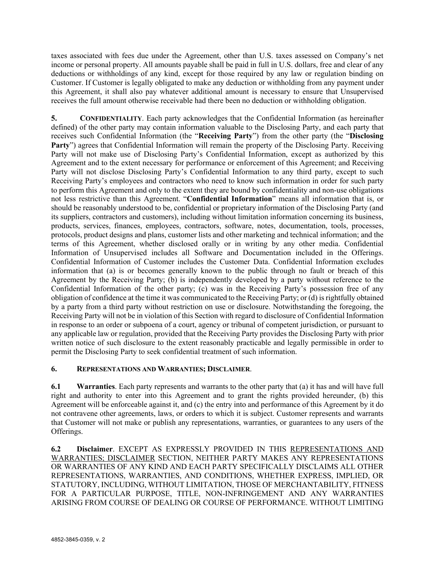taxes associated with fees due under the Agreement, other than U.S. taxes assessed on Company's net income or personal property. All amounts payable shall be paid in full in U.S. dollars, free and clear of any deductions or withholdings of any kind, except for those required by any law or regulation binding on Customer. If Customer is legally obligated to make any deduction or withholding from any payment under this Agreement, it shall also pay whatever additional amount is necessary to ensure that Unsupervised receives the full amount otherwise receivable had there been no deduction or withholding obligation.

**5. CONFIDENTIALITY**. Each party acknowledges that the Confidential Information (as hereinafter defined) of the other party may contain information valuable to the Disclosing Party, and each party that receives such Confidential Information (the "**Receiving Party**") from the other party (the "**Disclosing Party**") agrees that Confidential Information will remain the property of the Disclosing Party. Receiving Party will not make use of Disclosing Party's Confidential Information, except as authorized by this Agreement and to the extent necessary for performance or enforcement of this Agreement; and Receiving Party will not disclose Disclosing Party's Confidential Information to any third party, except to such Receiving Party's employees and contractors who need to know such information in order for such party to perform this Agreement and only to the extent they are bound by confidentiality and non-use obligations not less restrictive than this Agreement. "**Confidential Information**" means all information that is, or should be reasonably understood to be, confidential or proprietary information of the Disclosing Party (and its suppliers, contractors and customers), including without limitation information concerning its business, products, services, finances, employees, contractors, software, notes, documentation, tools, processes, protocols, product designs and plans, customer lists and other marketing and technical information; and the terms of this Agreement, whether disclosed orally or in writing by any other media. Confidential Information of Unsupervised includes all Software and Documentation included in the Offerings. Confidential Information of Customer includes the Customer Data. Confidential Information excludes information that (a) is or becomes generally known to the public through no fault or breach of this Agreement by the Receiving Party; (b) is independently developed by a party without reference to the Confidential Information of the other party; (c) was in the Receiving Party's possession free of any obligation of confidence at the time it was communicated to the Receiving Party; or (d) is rightfully obtained by a party from a third party without restriction on use or disclosure. Notwithstanding the foregoing, the Receiving Party will not be in violation of this Section with regard to disclosure of Confidential Information in response to an order or subpoena of a court, agency or tribunal of competent jurisdiction, or pursuant to any applicable law or regulation, provided that the Receiving Party provides the Disclosing Party with prior written notice of such disclosure to the extent reasonably practicable and legally permissible in order to permit the Disclosing Party to seek confidential treatment of such information.

# **6. REPRESENTATIONS AND WARRANTIES; DISCLAIMER**.

**6.1 Warranties**. Each party represents and warrants to the other party that (a) it has and will have full right and authority to enter into this Agreement and to grant the rights provided hereunder, (b) this Agreement will be enforceable against it, and (c) the entry into and performance of this Agreement by it do not contravene other agreements, laws, or orders to which it is subject. Customer represents and warrants that Customer will not make or publish any representations, warranties, or guarantees to any users of the Offerings.

**6.2 Disclaimer**. EXCEPT AS EXPRESSLY PROVIDED IN THIS REPRESENTATIONS AND WARRANTIES; DISCLAIMER SECTION, NEITHER PARTY MAKES ANY REPRESENTATIONS OR WARRANTIES OF ANY KIND AND EACH PARTY SPECIFICALLY DISCLAIMS ALL OTHER REPRESENTATIONS, WARRANTIES, AND CONDITIONS, WHETHER EXPRESS, IMPLIED, OR STATUTORY, INCLUDING, WITHOUT LIMITATION, THOSE OF MERCHANTABILITY, FITNESS FOR A PARTICULAR PURPOSE, TITLE, NON-INFRINGEMENT AND ANY WARRANTIES ARISING FROM COURSE OF DEALING OR COURSE OF PERFORMANCE. WITHOUT LIMITING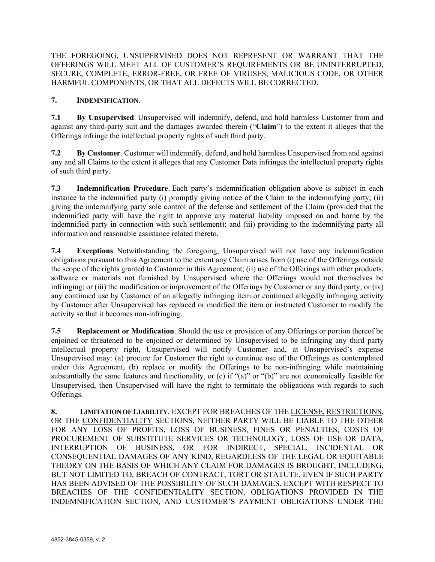THE FOREGOING, UNSUPERVISED DOES NOT REPRESENT OR WARRANT THAT THE OFFERINGS WILL MEET ALL OF CUSTOMER'S REQUIREMENTS OR BE UNINTERRUPTED, SECURE, COMPLETE, ERROR-FREE, OR FREE OF VIRUSES, MALICIOUS CODE, OR OTHER HARMFUL COMPONENTS, OR THAT ALL DEFECTS WILL BE CORRECTED.

#### **7. INDEMNIFICATION**.

**7.1 By Unsupervised**. Unsupervised will indemnify, defend, and hold harmless Customer from and against any third-party suit and the damages awarded therein ("**Claim**") to the extent it alleges that the Offerings infringe the intellectual property rights of such third party.

**7.2 By Customer**. Customer will indemnify, defend, and hold harmless Unsupervised from and against any and all Claims to the extent it alleges that any Customer Data infringes the intellectual property rights of such third party.

**7.3 Indemnification Procedure**. Each party's indemnification obligation above is subject in each instance to the indemnified party (i) promptly giving notice of the Claim to the indemnifying party; (ii) giving the indemnifying party sole control of the defense and settlement of the Claim (provided that the indemnified party will have the right to approve any material liability imposed on and borne by the indemnified party in connection with such settlement); and (iii) providing to the indemnifying party all information and reasonable assistance related thereto.

**7.4 Exceptions**. Notwithstanding the foregoing, Unsupervised will not have any indemnification obligations pursuant to this Agreement to the extent any Claim arises from (i) use of the Offerings outside the scope of the rights granted to Customer in this Agreement; (ii) use of the Offerings with other products, software or materials not furnished by Unsupervised where the Offerings would not themselves be infringing; or (iii) the modification or improvement of the Offerings by Customer or any third party; or (iv) any continued use by Customer of an allegedly infringing item or continued allegedly infringing activity by Customer after Unsupervised has replaced or modified the item or instructed Customer to modify the activity so that it becomes non-infringing.

**7.5 Replacement or Modification**. Should the use or provision of any Offerings or portion thereof be enjoined or threatened to be enjoined or determined by Unsupervised to be infringing any third party intellectual property right, Unsupervised will notify Customer and, at Unsupervised's expense Unsupervised may: (a) procure for Customer the right to continue use of the Offerings as contemplated under this Agreement, (b) replace or modify the Offerings to be non-infringing while maintaining substantially the same features and functionality, or (c) if "(a)" or "(b)" are not economically feasible for Unsupervised, then Unsupervised will have the right to terminate the obligations with regards to such Offerings.

**8. LIMITATION OF LIABILITY**. EXCEPT FOR BREACHES OF THE LICENSE, RESTRICTIONS, OR THE CONFIDENTIALITY SECTIONS, NEITHER PARTY WILL BE LIABLE TO THE OTHER FOR ANY LOSS OF PROFITS, LOSS OF BUSINESS, FINES OR PENALTIES, COSTS OF PROCUREMENT OF SUBSTITUTE SERVICES OR TECHNOLOGY, LOSS OF USE OR DATA, INTERRUPTION OF BUSINESS, OR FOR INDIRECT, SPECIAL, INCIDENTAL OR CONSEQUENTIAL DAMAGES OF ANY KIND, REGARDLESS OF THE LEGAL OR EQUITABLE THEORY ON THE BASIS OF WHICH ANY CLAIM FOR DAMAGES IS BROUGHT, INCLUDING, BUT NOT LIMITED TO, BREACH OF CONTRACT, TORT OR STATUTE, EVEN IF SUCH PARTY HAS BEEN ADVISED OF THE POSSIBILITY OF SUCH DAMAGES. EXCEPT WITH RESPECT TO BREACHES OF THE CONFIDENTIALITY SECTION, OBLIGATIONS PROVIDED IN THE INDEMNIFICATION SECTION, AND CUSTOMER'S PAYMENT OBLIGATIONS UNDER THE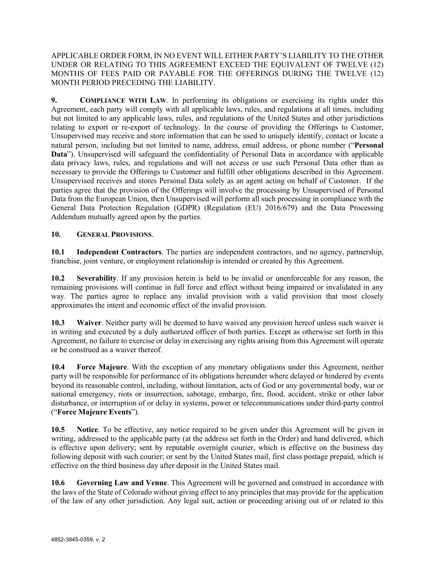#### APPLICABLE ORDER FORM, IN NO EVENT WILL EITHER PARTY'S LIABILITY TO THE OTHER UNDER OR RELATING TO THIS AGREEMENT EXCEED THE EQUIVALENT OF TWELVE (12) MONTHS OF FEES PAID OR PAYABLE FOR THE OFFERINGS DURING THE TWELVE (12) MONTH PERIOD PRECEDING THE LIABILITY.

**9. COMPLIANCE WITH LAW**. In performing its obligations or exercising its rights under this Agreement, each party will comply with all applicable laws, rules, and regulations at all times, including but not limited to any applicable laws, rules, and regulations of the United States and other jurisdictions relating to export or re-export of technology. In the course of providing the Offerings to Customer, Unsupervised may receive and store information that can be used to uniquely identify, contact or locate a natural person, including but not limited to name, address, email address, or phone number ("**Personal Data**"). Unsupervised will safeguard the confidentiality of Personal Data in accordance with applicable data privacy laws, rules, and regulations and will not access or use such Personal Data other than as necessary to provide the Offerings to Customer and fulfill other obligations described in this Agreement. Unsupervised receives and stores Personal Data solely as an agent acting on behalf of Customer. If the parties agree that the provision of the Offerings will involve the processing by Unsupervised of Personal Data from the European Union, then Unsupervised will perform all such processing in compliance with the General Data Protection Regulation (GDPR) (Regulation (EU) 2016/679) and the Data Processing Addendum mutually agreed upon by the parties.

# **10. GENERAL PROVISIONS**.

**10.1 Independent Contractors**. The parties are independent contractors, and no agency, partnership, franchise, joint venture, or employment relationship is intended or created by this Agreement.

**10.2 Severability**. If any provision herein is held to be invalid or unenforceable for any reason, the remaining provisions will continue in full force and effect without being impaired or invalidated in any way. The parties agree to replace any invalid provision with a valid provision that most closely approximates the intent and economic effect of the invalid provision.

**10.3 Waiver**. Neither party will be deemed to have waived any provision hereof unless such waiver is in writing and executed by a duly authorized officer of both parties. Except as otherwise set forth in this Agreement, no failure to exercise or delay in exercising any rights arising from this Agreement will operate or be construed as a waiver thereof.

**10.4 Force Majeure**. With the exception of any monetary obligations under this Agreement, neither party will be responsible for performance of its obligations hereunder where delayed or hindered by events beyond its reasonable control, including, without limitation, acts of God or any governmental body, war or national emergency, riots or insurrection, sabotage, embargo, fire, flood, accident, strike or other labor disturbance, or interruption of or delay in systems, power or telecommunications under third-party control ("**Force Majeure Events**").

**10.5 Notice**. To be effective, any notice required to be given under this Agreement will be given in writing, addressed to the applicable party (at the address set forth in the Order) and hand delivered, which is effective upon delivery; sent by reputable overnight courier, which is effective on the business day following deposit with such courier; or sent by the United States mail, first class postage prepaid, which is effective on the third business day after deposit in the United States mail.

**10.6 Governing Law and Venue**. This Agreement will be governed and construed in accordance with the laws of the State of Colorado without giving effect to any principles that may provide for the application of the law of any other jurisdiction. Any legal suit, action or proceeding arising out of or related to this